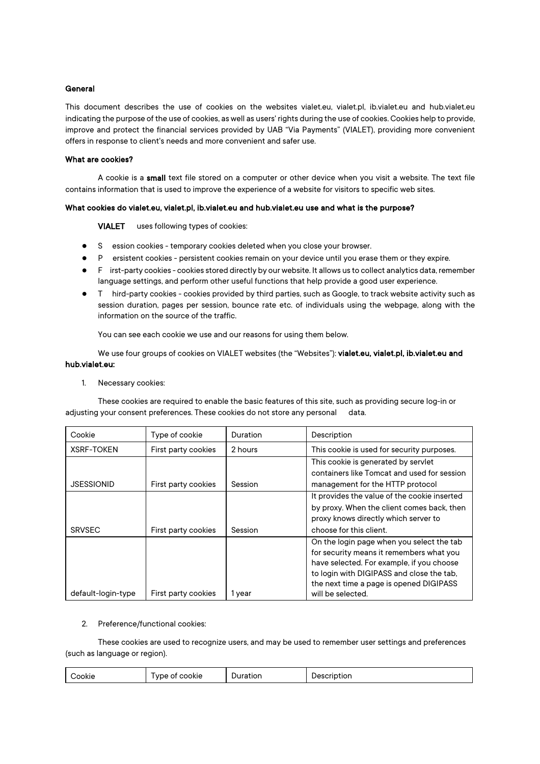### General

This document describes the use of cookies on the websites vialet.eu, vialet.pl, ib.vialet.eu and hub.vialet.eu indicating the purpose of the use of cookies, as well as users' rights during the use of cookies. Cookies help to provide, improve and protect the financial services provided by UAB "Via Payments" (VIALET), providing more convenient offers in response to client's needs and more convenient and safer use.

#### What are cookies?

A cookie is a small text file stored on a computer or other device when you visit a website. The text file contains information that is used to improve the experience of a website for visitors to specific web sites.

### What cookies do vialet.eu, vialet.pl, ib.vialet.eu and hub.vialet.eu use and what is the purpose?

VIALET uses following types of cookies:

- S ession cookies temporary cookies deleted when you close your browser.
- P ersistent cookies persistent cookies remain on your device until you erase them or they expire.
- F irst-party cookies cookies stored directly by our website. It allows us to collect analytics data, remember language settings, and perform other useful functions that help provide a good user experience.
- T hird-party cookies cookies provided by third parties, such as Google, to track website activity such as session duration, pages per session, bounce rate etc. of individuals using the webpage, along with the information on the source of the traffic.

You can see each cookie we use and our reasons for using them below.

We use four groups of cookies on VIALET websites (the "Websites"): vialet.eu, vialet.pl, ib.vialet.eu and hub.vialet.eu:

1. Necessary cookies:

These cookies are required to enable the basic features of this site, such as providing secure log-in or adjusting your consent preferences. These cookies do not store any personal data.

| Cookie             | Type of cookie      | <b>Duration</b> | Description                                  |
|--------------------|---------------------|-----------------|----------------------------------------------|
| <b>XSRF-TOKEN</b>  | First party cookies | 2 hours         | This cookie is used for security purposes.   |
|                    |                     |                 | This cookie is generated by servlet          |
|                    |                     |                 | containers like Tomcat and used for session  |
| JSESSIONID         | First party cookies | Session         | management for the HTTP protocol             |
|                    |                     |                 | It provides the value of the cookie inserted |
|                    |                     |                 | by proxy. When the client comes back, then   |
|                    |                     |                 | proxy knows directly which server to         |
| <b>SRVSEC</b>      | First party cookies | Session         | choose for this client.                      |
|                    |                     |                 | On the login page when you select the tab    |
|                    |                     |                 | for security means it remembers what you     |
|                    |                     |                 | have selected. For example, if you choose    |
|                    |                     |                 | to login with DIGIPASS and close the tab.    |
|                    |                     |                 | the next time a page is opened DIGIPASS      |
| default-login-type | First party cookies | 1 year          | will be selected.                            |

#### 2. Preference/functional cookies:

These cookies are used to recognize users, and may be used to remember user settings and preferences (such as language or region).

| .<br>.<br>---<br>⇔ookie<br>'ookie<br>τιοη<br>uor<br>$\mathbf{v}$<br>. |
|-----------------------------------------------------------------------|
|-----------------------------------------------------------------------|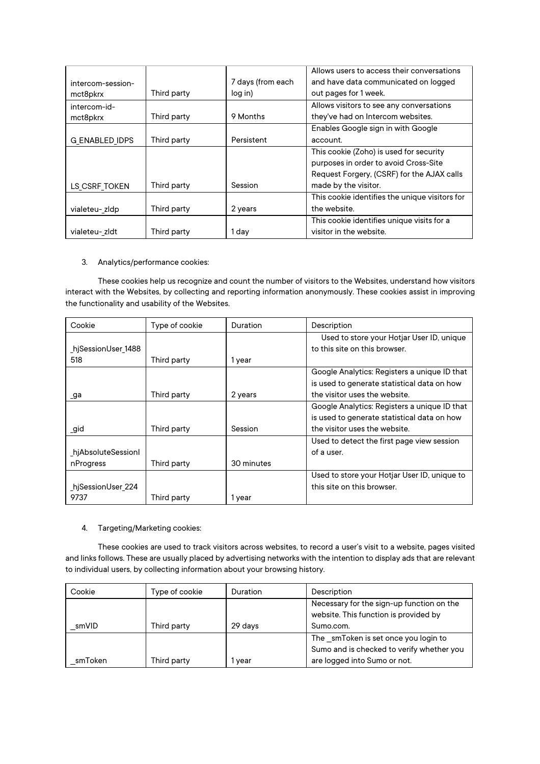|                       |             |                   | Allows users to access their conversations     |
|-----------------------|-------------|-------------------|------------------------------------------------|
| intercom-session-     |             | 7 days (from each | and have data communicated on logged           |
| mct8pkrx              | Third party | log in)           | out pages for 1 week.                          |
| intercom-id-          |             |                   | Allows visitors to see any conversations       |
| mct8pkrx              | Third party | 9 Months          | they've had on Intercom websites.              |
|                       |             |                   | Enables Google sign in with Google             |
| <b>G ENABLED IDPS</b> | Third party | Persistent        | account.                                       |
|                       |             |                   | This cookie (Zoho) is used for security        |
|                       |             |                   | purposes in order to avoid Cross-Site          |
|                       |             |                   | Request Forgery, (CSRF) for the AJAX calls     |
| LS CSRF TOKEN         | Third party | Session           | made by the visitor.                           |
|                       |             |                   | This cookie identifies the unique visitors for |
| vialeteu-zldp         | Third party | 2 years           | the website.                                   |
|                       |             |                   | This cookie identifies unique visits for a     |
| vialeteu- zldt        | Third party | 1 day             | visitor in the website.                        |

## 3. Analytics/performance cookies:

These cookies help us recognize and count the number of visitors to the Websites, understand how visitors interact with the Websites, by collecting and reporting information anonymously. These cookies assist in improving the functionality and usability of the Websites.

| Cookie             | Type of cookie | <b>Duration</b> | Description                                  |
|--------------------|----------------|-----------------|----------------------------------------------|
|                    |                |                 | Used to store your Hotjar User ID, unique    |
| hjSessionUser 1488 |                |                 | to this site on this browser.                |
| 518                | Third party    | 1 year          |                                              |
|                    |                |                 | Google Analytics: Registers a unique ID that |
|                    |                |                 | is used to generate statistical data on how  |
| ga                 | Third party    | 2 years         | the visitor uses the website.                |
|                    |                |                 | Google Analytics: Registers a unique ID that |
|                    |                |                 | is used to generate statistical data on how  |
| _gid               | Third party    | Session         | the visitor uses the website.                |
|                    |                |                 | Used to detect the first page view session   |
| hjAbsoluteSessionl |                |                 | of a user.                                   |
| nProgress          | Third party    | 30 minutes      |                                              |
|                    |                |                 | Used to store your Hotjar User ID, unique to |
| hjSessionUser_224_ |                |                 | this site on this browser.                   |
| 9737               | Third party    | 1 year          |                                              |

## 4. Targeting/Marketing cookies:

These cookies are used to track visitors across websites, to record a user's visit to a website, pages visited and links follows. These are usually placed by advertising networks with the intention to display ads that are relevant to individual users, by collecting information about your browsing history.

| Cookie  | Type of cookie | Duration | Description                                                                        |
|---------|----------------|----------|------------------------------------------------------------------------------------|
|         |                |          | Necessary for the sign-up function on the<br>website. This function is provided by |
|         |                |          |                                                                                    |
| smVID   | Third party    | 29 days  | Sumo.com.                                                                          |
|         |                |          | The smToken is set once you login to                                               |
|         |                |          | Sumo and is checked to verify whether you                                          |
| smToken | Third party    | vear     | are logged into Sumo or not.                                                       |